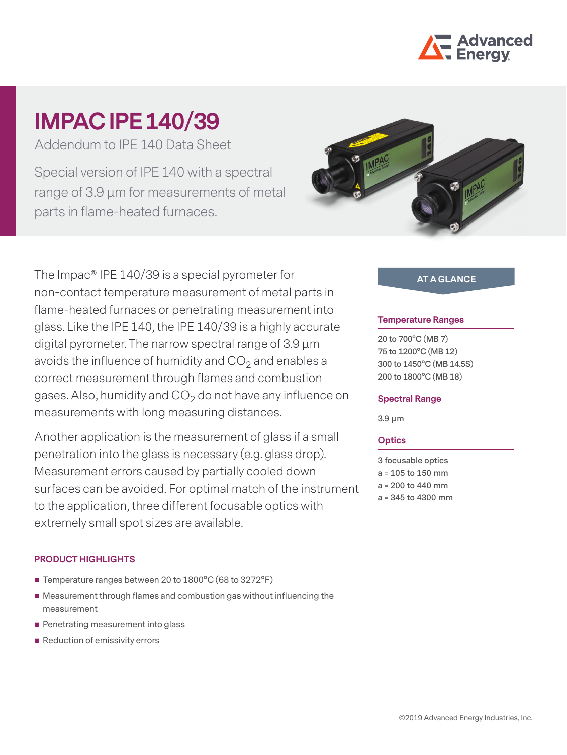

# **IMPAC IPE 140/39**

Addendum to IPE 140 Data Sheet

Special version of IPE 140 with a spectral range of 3.9 µm for measurements of metal parts in flame-heated furnaces.



The Impac® IPE 140/39 is a special pyrometer for non-contact temperature measurement of metal parts in flame-heated furnaces or penetrating measurement into glass. Like the IPE 140, the IPE 140/39 is a highly accurate digital pyrometer. The narrow spectral range of 3.9 μm avoids the influence of humidity and  $CO<sub>2</sub>$  and enables a correct measurement through flames and combustion gases. Also, humidity and  $CO<sub>2</sub>$  do not have any influence on measurements with long measuring distances.

Another application is the measurement of glass if a small penetration into the glass is necessary (e.g. glass drop). Measurement errors caused by partially cooled down surfaces can be avoided. For optimal match of the instrument to the application, three different focusable optics with extremely small spot sizes are available.

## **PRODUCT HIGHLIGHTS**

- Temperature ranges between 20 to 1800°C (68 to 3272°F)
- Measurement through flames and combustion gas without influencing the measurement
- **Penetrating measurement into glass**
- Reduction of emissivity errors

## **AT A GLANCE**

#### **Temperature Ranges**

**20 to 700°C (MB 7) 75 to 1200°C (MB 12) 300 to 1450°C (MB 14.5S) 200 to 1800°C (MB 18)**

#### **Spectral Range**

**3.9 μm**

## **Optics**

**3 focusable optics a = 105 to 150 mm a = 200 to 440 mm a = 345 to 4300 mm**